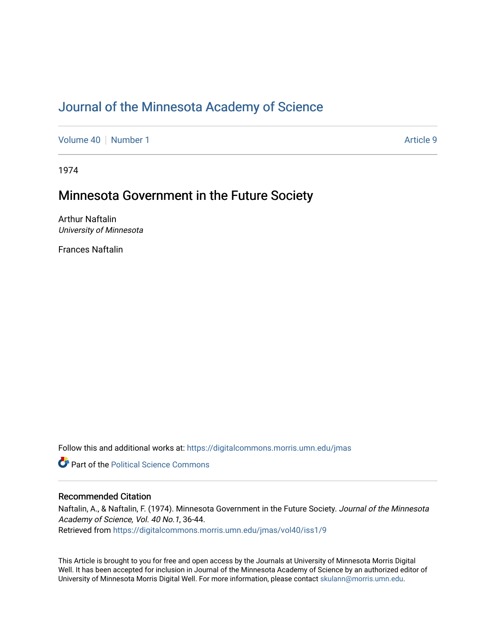# [Journal of the Minnesota Academy of Science](https://digitalcommons.morris.umn.edu/jmas)

[Volume 40](https://digitalcommons.morris.umn.edu/jmas/vol40) [Number 1](https://digitalcommons.morris.umn.edu/jmas/vol40/iss1) Article 9

1974

## Minnesota Government in the Future Society

Arthur Naftalin University of Minnesota

Frances Naftalin

Follow this and additional works at: [https://digitalcommons.morris.umn.edu/jmas](https://digitalcommons.morris.umn.edu/jmas?utm_source=digitalcommons.morris.umn.edu%2Fjmas%2Fvol40%2Fiss1%2F9&utm_medium=PDF&utm_campaign=PDFCoverPages) 

**C** Part of the Political Science Commons

#### Recommended Citation

Naftalin, A., & Naftalin, F. (1974). Minnesota Government in the Future Society. Journal of the Minnesota Academy of Science, Vol. 40 No.1, 36-44. Retrieved from [https://digitalcommons.morris.umn.edu/jmas/vol40/iss1/9](https://digitalcommons.morris.umn.edu/jmas/vol40/iss1/9?utm_source=digitalcommons.morris.umn.edu%2Fjmas%2Fvol40%2Fiss1%2F9&utm_medium=PDF&utm_campaign=PDFCoverPages)

This Article is brought to you for free and open access by the Journals at University of Minnesota Morris Digital Well. It has been accepted for inclusion in Journal of the Minnesota Academy of Science by an authorized editor of University of Minnesota Morris Digital Well. For more information, please contact [skulann@morris.umn.edu](mailto:skulann@morris.umn.edu).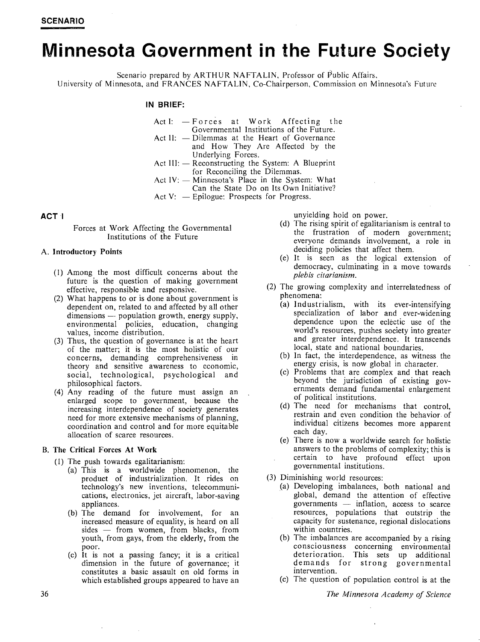# **Minnesota Government in the Future Society**

Scenario prepared by ARTHUR NAFTALIN, Professor of Public Affairs, University of Minnesota, and FRANCES NAFTALIN, Co-Chairperson, Commission on Minnesota's Future

#### **IN BRIEF:**

- Act I:  $-F$ orces at Work Affecting the Governmental Institutions of the Future.
- Act II:  $-$  Dilemmas at the Heart of Governance and How They Are Affected by the Underlying Forces.
- Act III:  $-$  Reconstructing the System: A Blueprint for Reconciling the Dilemmas.
- Act  $IV:$  Minnesota's Place in the System: What Can the State Do on Its Own Initiative?
- Act V:  $-$  Epilogue: Prospects for Progress.

Forces at Work Affecting the Governmental Institutions of the Future

#### A. **Introductory Points**

- ( 1) Among the most difficult concerns about the future is the question of making government effective, responsible and responsive.
- (2) What happens to or is done about government is dependent on, related to and affected by all other dimensions -- population growth, energy supply, environmental policies, education, changing values, income distribution.
- (3) Thus, the question of governance is at the heart of the matter; it is the most holistic of our concerns, demanding comprehensiveness in theory and sensitive awareness to economic, social, technological, psychological and philosophical factors.
- (4) Any reading of the future must assign an enlarged scope to government, because the increasing interdependence of society generates need for more extensive mechanisms of planning, coordination and control and for more equitable allocation of scarce resources.

#### B. **The Critical Forces At Work**

- (I) The push towards egalitarianism:
	- (a) This is a worldwide phenomenon, the product of industrialization. It rides on technology's new inventions, telecommunications, electronics, jet aircraft, labor-saving appliances.
	- (b) The demand for involvement, for an increased measure of equality, is heard on all  $sides - from women, from blacks, from$ youth, from gays, from the elderly, from the poor.
	- (c) It is not a passing fancy; it is a critical dimension in the future of governance; it constitutes a basic assault on old forms in which established groups appeared to have an

**ACT I** unyielding hold on power.

- (d) The rising spirit of egalitarianism is central to the frustration of modern government; everyone demands involvement, a role in deciding policies that affect them.
- (e) It is seen as the logical extension of democracy, culminating in a move towards *plebis citarianism.*
- (2) The growing complexity and interrelatedness of phenomena:
	- (a) Industrialism, with its ever-intensifying specialization of labor and ever-widening dependence upon the eclectic use of the world's resources, pushes society into greater and greater interdependence. It transcends local, state and national boundaries.
	- (b) In fact, the interdependence, as witness the energy crisis, is now global in character.
	- (c) Problems that are ,complex and that reach beyond the jurisdiction of existing governments demand fundamental enlargement of political institutions.
	- (d) The need for mechanisms that control, restrain and even condition the behavior of individual citizens becomes more apparent each day.
	- (e) There is now a worldwide search for holistic answers to the problems of complexity; this is certain to have profound effect upon governmental institutions.
- (3) Diminishing world resources:
	- (a) Developing imbalances, both national and global, demand the attention of effective governments  $-$  inflation, access to scarce resources, populations that outstrip the capacity for sustenance, regional dislocations within countries.
	- (b) The imbalances are accompanied by a rising consciousness concerning environmental deterioration. This sets up additional demands for strong governmental intervention.
	- (c) The question of population control is at the

*The Minnesota Academy of Science*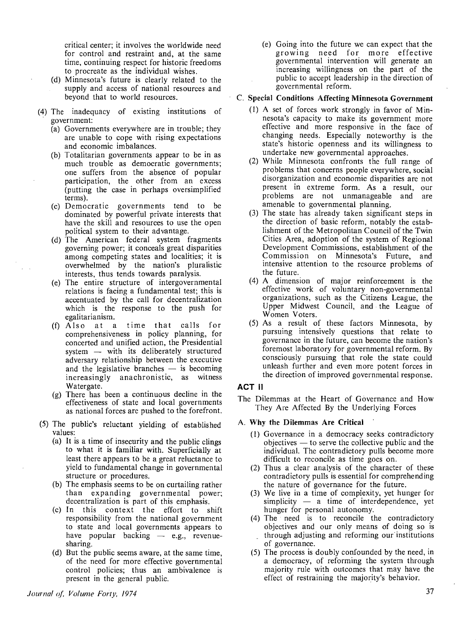critical center; it involves the worldwide need for control and restraint and, at the same time, continuing respect for historic freedoms to procreate as the individual wishes.

- (d) Minnesota's future is clearly related to the supply and access of national resources and beyond that to world resources.
- (4) The inadequacy of existing institutions of government:
	- (a) Governments everywhere are in trouble; they are unable to cope with rising expectations and economic imbalances.
	- (b) Totalitarian governments appear to be in as much trouble as democratic governments; one suffers from the absence of popular participation, the other from an excess (putting the case in perhaps oversimplified terms).
	- (c) Democratic governments tend to be dominated by powerful private interests that have the skill and resources to use the open political system to their advantage.
	- (d) The American federal system fragments governing power; it conceals great disparities among competing states and localities; it is overwhelmed by the nation's pluralistic interests, thus tends towards paralysis.
	- (e) The entire strµcture of intergovernmental relations is facing a fundamental test; this is accentuated by the call for decentralization which is the response to the push for egalitarianism.
	- (f) Also at a time that calls for comprehensiveness in policy planning, for concerted and unified action, the Presidential system  $-$  with its deliberately structured adversary relationship between the executive and the legislative branches  $-$  is becoming increasingly anachronistic, as witness Watergate.
	- (g) There has been a continuous decline in the effectiveness of state and local governments as national forces are pushed to the forefront.
- (5) The public's reluctant yielding of established values:
	- (a) It is a time of insecurity and the public clings to what it is familiar with. Superficially at least there appears to be a great reluctance to yield to fundamental change in governmental structure or procedures.
	- (b) The emphasis seems to be on curtailing rather than expanding governmental power; decentralization is part of this emphasis.
	- (c) In this context the effort to shift responsibility from the national government to state and local governments appears to have popular backing  $-$  e.g., revenuesharing.
	- (d) But the public seems aware, at the same time, of the need for more effective governmental control policies; thus an ambivalence is present in the general public.

(e) Going into the future we can expect that the growing need for more effective governmental intervention will generate an increasing willingness on the part of the public to accept leadership in the direction of governmental reform.

#### C. **Special Conditions Affecting Minnesota Government**

- (I) A set of forces work strongly in favor of Minnesota's capacity to make its government more effective and more responsive in the face of changing needs. Especially noteworthy is the state's historic openness and its willingness to undertake new governmental approaches.
- (2) While Minnesota confronts the full range of problems that concerns people everywhere, social disorganization and economic disparities are not present in extreme form. As a result, our problems are not unmanageable and are amenable to governmental planning.
- (3) The state has already taken significant steps in the direction of basic reform, notably the establishment of the Metropolitan Council of the Twin Cities Area, adoption of the system of Regional Development Commissions, establishment of the Commission on Minnesota's Future, and intensive attention to the resource problems of the future.
- (4) A dimension of major reinforcement is the effective work of voluntary non-governmental organizations, such as the Citizens League, the Upper Midwest Council, and the League of Women Voters.
- (5) As a result of these factors Minnesota, by pursuing intensively questions that relate to governance in the future, can become the nation's foremost laboratory for governmental reform. By consciously pursuing that role the state could unleash further and even more potent forces in the direction of improved governmental response.

#### **ACT ii**

The Dilemmas at the Heart of Governance and How They Are Affected By the Underlying Forces

#### A. **Why the Dilemmas Are Critical**

- ( 1) Governance in a democracy seeks contradictory  $objectives - to serve the collective public and the$ individual. The contradictory pulls become more difficult to reconcile as time goes on.
- (2) Thus a clear analysis of the character of these contradictory pulls is essential for comprehending the nature of governance for the future.
- (3) We live in a time of complexity, yet hunger for  $simplify$  - a time of interdependence, yet hunger for personal autonomy.
- (4) The need is to reconcile the contradictory objectives and our only means of doing so is through adjusting and reforming our institutions of governance.
- (5) The process is doubly confounded by the need, in a democracy, of reforming the system through majority rule with outcomes that may have the effect of restraining the majority's behavior.

*Journal of, Volume Forty, 1974*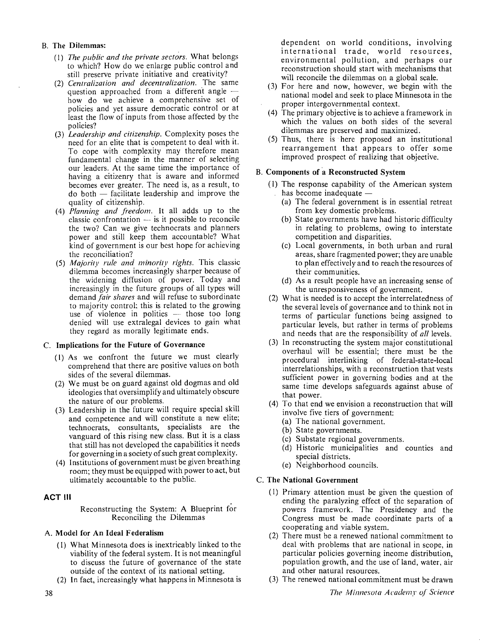#### B. **The Dilemmas:**

- ( 1) *The public and the private sectors.* What belongs to which? How do we enlarge public control and still preserve private initiative and creativity?
- (2) *Centralization and decentralization.* The same question approached from a different angle  $$ how do we achieve a comprehensive set of policies and yet assure democratic control or at least the flow of inputs from those affected by the policies?
- (3) *Leadership and citizenship.* Complexity poses the need for an elite that is competent to deal with it. To cope with complexity may therefore mean fundamental change in the manner of selecting our leaders. At the same time the importance of having a citizenry that is aware and informed becomes ever greater. The need is, as a result, to do both - facilitate leadership and improve the quality of citizenship.
- (4) *Planning and freedom*. It all adds up to the  $classic$  confrontation  $-$  is it possible to reconcile the two? Can we give technocrats and planners power and still keep them accountable? What kind of government is our best hope for achieving the reconciliation?
- (5) *Majority rule and minority rights.* This classic dilemma becomes increasingly sharper because of the widening diffusion of power. Today and increasingly in the future groups of all types will demand *fair shares* and will refuse to subordinate to majority control: this is related to the growing use of violence in politics  $-$  those too long denied will use extralegal devices to gain what they regard as morally legitimate ends.

#### C. **Implications for the Future of Governance**

- ( 1) As we confront the future we must clearly comprehend that there are positive values on both sides of the several dilemmas.
- (2) We must be on guard against old dogmas and old ideologies that oversimplify and ultimately obscure the nature of our problems.
- (3) Leadership in the future will require special skill and competence and will constitute a new elite; technocrats, consultants, specialists are the vanguard of this rising new class. But it is a class that still has not developed the capabilities it needs for governing in a society of such great complexity.
- (4) Institutions of government must be given breathing room; they must be equipped with power to act, but ultimately accountable to the public.

### **ACT** Ill

Reconstructing the System: A Blueprint for Reconciling the Dilemmas

#### A. **Model for An Ideal Federalism**

- (I) What Minnesota does is inextricably linked to the viability of the federal system. It is not meaningful to discuss the future of governance of the state outside of the context of its national setting.
- (2) In fact, increasingly what happens in Minnesota is

dependent on world conditions, involving international trade, world resources, environmental pollution, and perhaps our reconstruction should start with mechanisms that will reconcile the dilemmas on a global scale.

- (3) For here and now, however, we begin with the national model and seek to place Minnesota in the proper intergovernmental context.
- (4) The primary objective is to achieve a framework in which the values on both sides of the several dilemmas are preserved and maximized.
- (5) Thus, there is here proposed an institutional rearrangement that appears to offer some improved prospect of realizing that objective.

### B. Components of a Reconstructed System

- (I) The response capability of the American system has become inadequate  $-$ 
	- (a) The federal government is in essential retreat from key domestic problems.
	- (b) State governments have had historic difficulty in relating to problems, owing to interstate competition and disparities.
	- (c) Local governments, in both urban and rural areas, share fragmented power; they are unable to plan effectively and to reach the resources of their communities.
	- (d) As a result people have an increasing sense of the unresponsiveness of government.
- (2) What is needed is to accept the interrelatedness of the several levels of governance and to think not in terms of particular functions being assigned to particular levels, but rather in terms of problems and needs that are the responsibility of *all* levels.
- (3) In reconstructing the system major constitutional overhaul will be essential; there must be the procedural interlinking of federal-state-local interrelationships, with a reconstruction that vests sufficient power in governing bodies and at the same time develops safeguards against abuse of that power.
- (4) To that end we envision a reconstruction that will involve five tiers of government:
	- (a) The national government.
	- (b) State governments.
	- (c) Substate regional governments.
	- (d) Historic municipalities and counties and special districts.
	- (e) Neighborhood councils.

### C. **The National Government**

- ( I) Primary attention must be given the question of ending the paralyzing effect of the separation of powers framework. The Presidency and the Congress must be made coordinate parts of a cooperating and viable system.
- (2) There must be a renewed national commitment to deal with problems that are national in scope, in particular policies governing income distribution, population growth, and the use of land, water, air and other natural resources.
- (3) The renewed national commitment must be drawn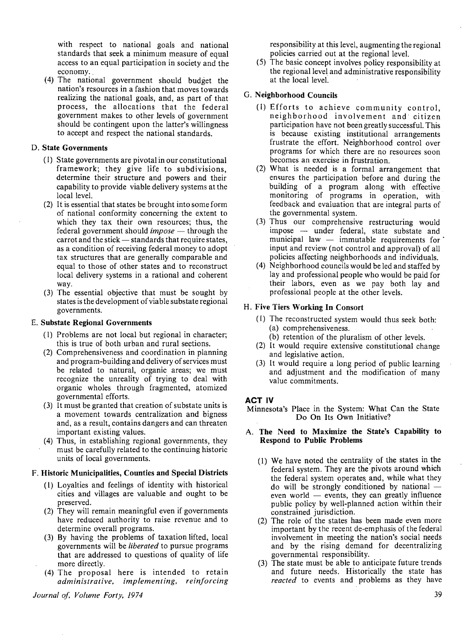with respect to national goals and national standards that seek a minimum measure of equal access to an equal participation in society and the economy.

(4) The national government should budget the nation's resources in a fashion that moves towards realizing the national goals, and, as part of that process, the allocations that the federal government makes to other levels of government should be contingent upon the latter's willingness to accept and respect the national standards.

#### **D. State Governments**

- ( I) State governments are pivotal in our constitutional framework; they give life to subdivisions, determine their structure and powers and their capability to provide viable delivery systems at the local level.
- (2) It is essential that states be brought into some form of national conformity concerning the extent to which they tax their own resources; thus, the federal government should *impose* — through the  $carrot$  and the stick  $-$  standards that require states, as a condition of receiving federal money to adopt tax structures that are generally comparable and equal to those of other states and to reconstruct local delivery systems in a rational and coherent way.
- (3) The essential objective that must be sought by states is the development of viable substate regional governments.

#### E. **Substate Regional Governments**

- ( I) Problems are not local but regional in character; this is true of both urban and rural sections.
- (2) Comprehensiveness and coordination in planning and program-building and delivery of services must be related to natural, organic areas; we must recognize the unreality of trying to deal with organic wholes through fragmented, atomized governmental efforts.
- (3) It must be granted that creation of substate units is a movement towards centralization and bigness and, as a result, contains dangers and can threaten important existing values.
- (4) Thus, in establishing regional governments, they must be carefully related to the continuing historic units of local governments.

#### F. **Historic Municipalities, Counties and Special Districts**

- (I) Loyalties and feelings of identity with historical cities and villages are valuable and ought to be preserved.
- (2) They will remain meaningful even if governments have reduced authority to raise revenue and to determine overall programs.
- (3) By having the problems of taxation lifted, local governments will be *liberated* to pursue programs that are addressed to questions of quality of life more directly.
- (4) The proposal here is intended to retain *administrative, implementing, reinforcing*

responsibility at this level, augmenting the regional policies carried out at the regional level.

(5) The basic concept involves policy responsibility at the regional level and administrative responsibility at the local level.

#### G. **Neighborhood Councils**

- (1) Efforts to achieve community control, neighborhood involvement and· citizen participation have not been greatly successful. This is because existing institutional arrangements frustrate the effort. Neighborhood control over programs for which there are no resources soon becomes an exercise in frustration.
- (2) What is needed is a formal arrangement that ensures the participation before and during the building of a program along with effective monitoring of programs in operation, with feedback and evaluation that are integral parts of the governmental system.
- (3) Thus our comprehensive restructuring would impose - under federal, state substate and municipal law  $-$  immutable requirements for input and review (not control and approval) of all policies affecting neighborhoods and individuals.
- (4) Neighborhood councils would be led and staffed by lay and professional people who would be paid for their labors, even as we pay both lay and professional people at the other levels.

### **H. Five Tiers Working In Consort**

- (I) The reconstructed system would thus seek both: (a) comprehensiveness.
	- (b) retention of the pluralism of other levels.
- (2) It would require extensive constitutional change and legislative action.
- (3) It would require a long period of public learning and adjustment and the modification of many value commitments.

#### **ACT IV**

Minnesota's Place in the System: What Can the State Do On Its Own Initiative?

#### **A. The Need to Maximize the State's Capability to Respond to Public Problems**

- **(1) We** have noted the centrality of the states in the federal system. They are the pivots around which the federal system operates and, while what they  $\alpha$  do will be strongly conditioned by national  $$ even world  $-$  events, they can greatly influence public policy by well-planned action within their constrained jurisdiction.
- (2) The role of the states has been made even more important by the recent de-emphasis of the federal involvement in meeting the nation's social needs and by the rising demand for decentralizing governmental responsibility.
- (3) The state must be able to anticipate future trends and future needs. Historically the state has *reacted* to events and problems as they have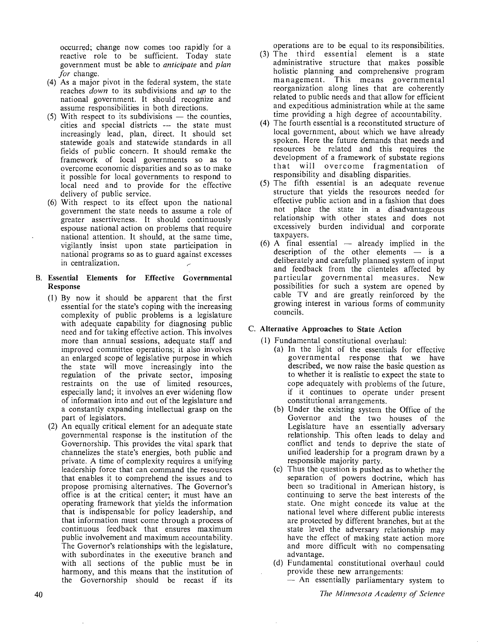occurred; change now comes too rapidly for a reactive role to be sufficient. Today state government must be able to *anticipate* and *plan for* change.

- (4) As a major pivot in the federal system, the state reaches *down* to its subdivisions and *up* to the national government. It should recognize and assume responsibilities in both directions.
- $(5)$  With respect to its subdivisions  $-$  the counties, cities and special districts -- the state must increasingly lead, plan, direct. It should set statewide goals and statewide standards in all fields of public concern. It should remake the framework of local governments so as to overcome economic disparities and so as to make it possible for local governments to respond to local need and to provide for the effective delivery of public service.
- (6) With respect to its effect upon the national government the state needs to assume a role of greater assertiveness. It should continuously espouse national action on problems that require national attention. It should, at the same time, vigilantly insist upon state participation in national programs so as to guard against excesses in centralization.

#### B. **Essential Elements for Effective Governmental Response**

- (I) By now it should be apparent that the first essential for the state's coping with the increasing complexity of public problems is a legislature with adequate capability for diagnosing public need and for taking effective action. This involves more than annual sessions, adequate staff and improved committee operations; it also involves an enlarged scope of legislative purpose in which the state will move increasingly into the regulation of the private sector, imposing restraints on the use of limited resources, especially land; it involves an ever widening flow of information into and out of the legislature and a constantly expanding intellectual grasp on the part of legislators.
- (2) An equally critical element for an adequate state governmental response is the institution of the Governorship. This provides the vital spark that channelizes the state's energies, both public and private. A time of complexity requires a unifying leadership force that can command the resources that enables it to comprehend the issues and to propose promising alternatives. The Governor's office is at the critical center; it must have an operating framework that yields the information that is indispensable for policy leadership, and that information must come through a process of continuous feedback that ensures maximum public involvement and maximum accountability. The Governor's relationships with the legislature, with subordinates in the executive branch and with all sections of the public must be in harmony, and this means that the institution of the Governorship should be recast if its

operations are to be equal to its responsibilities.

- (3) The third essential element is a state administrative structure that makes possible holistic planning and comprehensive program management. This means governmental reorganization along lines that are coherently related to public needs and that allow for efficient and expeditious administration while at the same time providing a high degree of accountability.
- ( 4) The fourth essential is a reconstituted structure of local government, about which we have already spoken. Here the future demands that needs and resources be related and this requires the development of a framework of substate regions that will overcome fragmentation of responsibility and disabling disparities.
- (5) The fifth essential is an adequate revenue structure that yields the resources needed for effective public action and in a fashion that does not place the state in a disadvantageous relationship with other states and does not excessively burden individual and corporate taxpayers.
- $(6)$  A final essential  $-$  already implied in the description of the other elements  $-$  is a deliberately and carefully planned system of input and feedback from the clienteles affected by particular governmental measures. New possibilities for such a system are opened by cable TV and are greatly reinforced by the growing interest in various forms of community councils.

### C. **Alternative Approaches to State Action**

- ( 1) Fundamental constitutional overhaul:
	- (a) In the light of the essentials for effective governmental response that we have described, we now raise the basic question as to whether it is realistic to expect the state to cope adequately with problems of the future, if it continues to operate under present constitutional arrangements.
	- (b) Under the existing system the Office of the Governor and the two houses of the Legislature have an essentially adversary relationship. This often leads to delay and conflict and tends to deprive the state of unified leadership for a program drawn by a responsible majority party.
	- (c) Thus the question is pushed as to whether the separation of powers doctrine, which has been so traditional in American history, is continuing to serve the best interests of the state. One might concede its value at the national level where different public interests are protected by different branches, but at the state level the adversary relationship may have the effect of making state action more and more difficult with no compensating advantage.
	- (d) Fundamental constitutional overhaul could provide these new arrangements:
		- An essentially parliamentary system to

*The Minnesota Academy ol Science*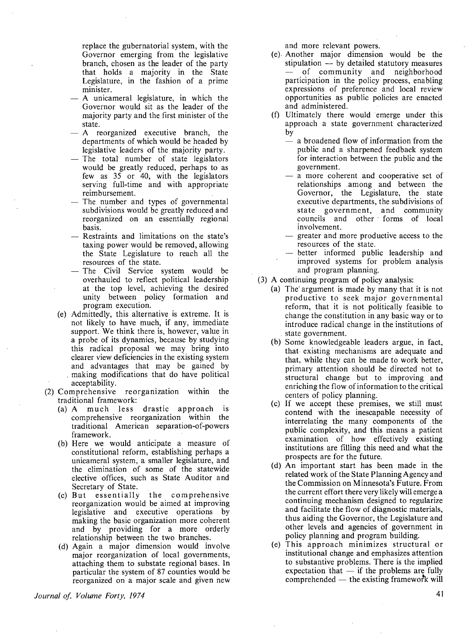replace the gubernatorial system, with the Governor emerging from the legislative branch, chosen as the leader of the party that holds a majority in the State Legislature, in the fashion of a prime minister.

- A unicameral legislature, in which the Governor would sit as the leader of the majority party and the first minister of the state.
- A reorganized executive branch, the departments of which would be headed by legislative leaders of the majority party.
- The total number of state legislators would be greatly reduced, perhaps to as few as 35 or 40, with the legislators serving full-time and with appropriate reimbursement.
- The number and types of governmental subdivisions would be greatly reduced and reorganized on an essentially regional basis.
- Restraints and limitations on the state's taxing power would be removed, allowing the State Legislature to reach all the resources of the state.
- The Civil Service system would be overhauled to reflect political leadership at the top level, achieving the desired unity between policy formation and program execution.
- (e) Admittedly, this alternative is extreme. It is not likely to have much, if any, immediate support. We think there is, however, value in a probe of its dynamics, because by studying this radical proposal we may bring into clearer view deficiencies in the existing system and advantages that may be gained by . making modifications that do have political acceptability.
- (2) Comprehensive reorganization within the traditional framework:
	- (a) A much less drastic approach is comprehensive reorganization within the traditional American separation-of-powers framework.
	- (b) Here we would anticipate a measure of constitutional reform, establishing perhaps a unicameral system, a smaller legislature, and the elimination of some of the statewide elective offices, such as State Auditor and Secretary of State.
	- (c) But essentially the comprehensive reorganization would be aimed at improving legislative and executive operations by making the basic organization more coherent and by providing for a more orderly relationship between the two branches.
	- (d) Again a major dimension would involve major reorganization of local governments, attaching them to substate regional bases. In particular the system of 87 counties would be reorganized on a major scale and given new

*Journal of; Volume Forty, 1974* 

and more relevant powers.

- (e)- Another major dimension would be the stipulation  $-$  by detailed statutory measures of community and neighborhood participation in the policy process, enabling expressions of preference and local review opportunities as public policies are enacted and administered.
- (f) Ultimately there would emerge under this approach a state government characterized by
	- a broadened flow of information from the public and a sharpened feedback system for interaction between the public and the government.
	- a more coherent and cooperative set of relationships among and between the Governor, the Legislature, the state executive departments, the subdivisions of state government, and community councils and other forms of local involvement.
	- greater and more productive access to the resources of the state.
	- better informed public leadership and improved systems for problem analysis and program planning.
- (3) A continuing program of policy analysis:
	- (a) The· argument is made by many that it is not productive to seek major governmental reform, that it is not politically feasible to change the constitution in any basic way or to introduce radical change in the institutions of state government.
	- (b) Some knowledgeable leaders argue, in fact, that existing mechanisms are adequate and that, while they can be made to work better, primary attention should be directed not to structural change but to improving and enriching the flow of information to the critical centers of policy planning.
	- (c) If we accept these premises, we still must contend with the inescapable necessity of interrelating the many components of the public complexity, and this means a patient examination of how effectively existing institutions are filling this need and what the prospects are for the future.
	- (d) An important start has been made in the related work of the State Planning Agency and the Commission on Minnesota's Future. From the current effort there very likely will emerge a continuing mechanism designed to regularize and facilitate the flow of diagnostic materials, thus aiding the Governor, the Legislature and other levels and agencies of government in policy planning and program building.
	- (e) This approach minimizes structural or institutional change and emphasizes attention to substantive problems. There is the implied expectation that  $-$  if the problems are fully comprehended  $-$  the existing framework will

41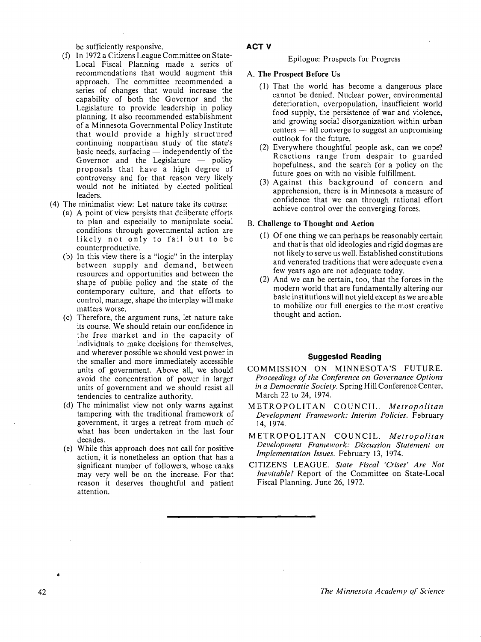be sufficiently responsive.

- $(f)$  In 1972 a Citizens League Committee on State-Local Fiscal Planning made a series of recommendations that would augment this approach. The committee recommended a series of changes that would increase the capability of both the Governor and the Legislature to provide leadership in policy planning. It also recommended establishment of a Minnesota Governmental Policy Institute that would provide a highly structured continuing nonpartisan study of the state's basic needs, surfacing  $-$  independently of the Governor and the Legislature  $-$  policy proposals that have a high degree of controversy and for that reason very likely would not be initiated by elected political leaders.
- (4) The minimalist view: Let nature take its course:
	- (a) A point of view persists that deliberate efforts to plan and especially to manipulate social conditions through governmental action are likely not only to fail but to be counterproductive.
	- (b) In this view there is a "logic" in the interplay between supply and demand, between resources and opportunities and between the shape of public policy and the state of the contemporary culture, and that efforts to control, manage, shape the interplay will make matters worse.
	- (c) Therefore, the argument runs, let nature take its course. We should retain our confidence in the free market and in the capacity of individuals to make decisions for themselves, and wherever possible we should vest power in the smaller and more immediately accessible units of government. Above all, we should avoid the concentration of power in larger units of government and we should resist all tendencies to centralize authority.
	- (d) The minimalist view not only warns against tampering with the traditional framework of government, it urges a retreat from much of what has been undertaken in the last four decades.
	- (e) While this approach does not call for positive action, it is nonetheless an option that has a significant number of followers, whose ranks may very well be on the increase. For that reason it deserves thoughtful and patient attention.

#### **ACTV**

#### Epilogue: Prospects for Progress

#### A. **The Prospect Before Us**

- (I) That the world has become a dangerous place cannot be denied. Nuclear power, environmental deterioration, overpopulation, insufficient world food supply, the persistence of war and violence and growing social disorganization within urban  $centers$   $-$  all converge to suggest an unpromising outlook for the future.
- (2) Everywhere thoughtful people ask, can we cope? Reactions range from despair to guarded hopefulness, and the search for a policy on the future goes on with no visible fulfillment.
- (3) Against this background of concern and apprehension, there is in Minnesota a measure of confidence that we can through rational effort achieve control over the converging forces.

#### **B. Challenge to Thought and Action**

- (I) Of one thing we can perhaps be reasonably certain and that is that old ideologies and rigid dogmas are not likely to serve us well. Established constitutions and venerated traditions that were adequate even a few years ago are not adequate today.
- (2) And we can be certain, too, that the forces in the modern world that are fundamentally altering our basic institutions will not yield except as we are able to mobilize our full energies to the most creative thought and action.

#### **Sµggested Reading**

- COMMISSION ON MINNESOTA'S FUTURE. *Proceedings of the Conference on Governance Options in a Democratic Society.* Spring Hill Conference Center, March 22 to 24, 1974.
- METROPOLITAN COUNCIL. *Metropolitan Development Framework: Interim Policies.* February 14, 1974.
- METROPOLITAN COUNCIL. *Metropolitan Development Framework: Discussion Statement on Implementation Issues.* February 13, 1974.
- CITIZENS LEAGUE. *State Fiscal 'Crises' Are Not Inevitable!'* Report of the Committee on State-Local Fiscal Planning. June 26, 1972.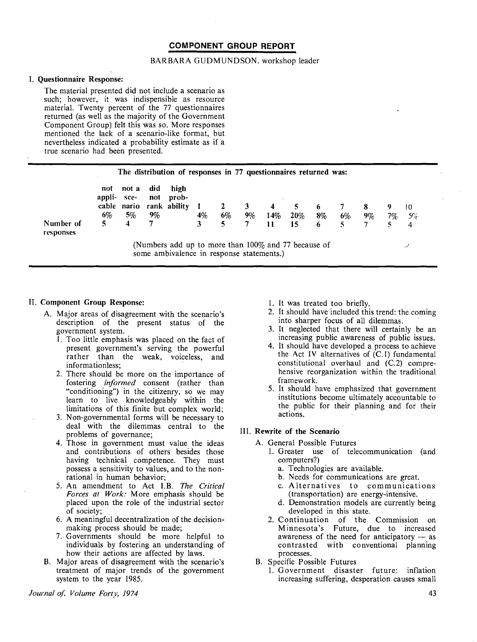#### **COMPONENT GROUP REPORT**

#### BARBARA GUDMUNDSON, workshop leader

#### I. **Questionnaire Response:**

The material presented did not include a scenario as such; however, it was indispensible as resource material. Twenty percent of the 77 questionnaires returned (as well as the majority of the Government Component Group) felt this was so. More responses mentioned the lack of a scenario-like format, but nevertheless indicated a probability estimate as if a true scenario had been presented.

|                        |                           |                          |                       | The distribution of responses in 77 questionnaires returned was:                                    |            |    |         |                |           |            |          |         |               |               |
|------------------------|---------------------------|--------------------------|-----------------------|-----------------------------------------------------------------------------------------------------|------------|----|---------|----------------|-----------|------------|----------|---------|---------------|---------------|
| Number of<br>responses | not<br>appli-<br>6%<br>5. | not a<br>sce-<br>5%<br>4 | did<br>not<br>9%<br>7 | high<br>prob-<br>cable nario rank ability                                                           | $4\%$<br>3 | 6% | 3<br>9% | 4<br>14%<br>11 | 20%<br>15 | $8\%$<br>6 | 6%<br>5. | 8<br>9% | 9<br>7%<br>5. | 10<br>5%<br>4 |
|                        |                           |                          |                       | (Numbers add up to more than $100\%$ and 77 because of<br>some ambivalence in response statements.) |            |    |         |                |           |            |          |         |               | ◡             |

#### II. **Component Group Response:**

- A. Major areas of disagreement with the scenario's description of the present status of the government system.
	- 1. Too little emphasis was placed on the fact of present government's serving the powerful rather than the weak, voiceless, and informationless:
	- 2. There should be more on the importance of fostering *informed* consent (rather than "conditioning") in the citizenry, so we may learn to live knowledgeably within the limitations of this finite but complex world;
	- 3. Non-governmental forms will be necessary to deal with the dilemmas central to the problems of governance;
	- 4. Those in government must value the ideas and contributions of others besides those having technical competence. They must possess a sensitivity to values, and to the nonrational in human behavior;
	- 5. An amendment to Act I.B. *The Critical Forces at Work:* More emphasis should be placed upon the role of the industrial sector of society;
	- 6. A meaningful decentralization of the decisionmaking process should be made;
	- 7 .. Governments should be more helpful to individuals by fostering an understanding of how their actions are affected by laws.
- B. Major areas of disagreement with the scenario's treatment of major trends of the government system. to the year 1985.
- 1. It was treated too briefly.
- 2. It should have included this trend: the coming into sharper focus of all dilemmas.
- 3. It neglected that there will certainly be an increasing public awareness of public issues.
- 4. It should have developed a process to achieve the Act IV alternatives of  $(C.1)$  fundamental constitutional overhaul and (C.2) comprehensive reorganization within the traditional framework.
- 5. It should have emphasized that government institutions become ultimately accountable to · the public for their planning and for their actions.

#### III. **Rewrite of the Scenario**

- A. General Possible Futures
	- 1. Greater use of telecommunication (and computers?)
		- a. Technologies are available.
		- b. Needs for communications are great.
		- c. Alternatives to communications (transportation) are energy-intensive.
		- d. Demonstration models are currently being developed in this state.
	- 2. Continuation of the Commission on Minnesota's Future, due to increased awareness of the need for anticipatory  $-$  as contrasted with conventional planning processes.
- B. Specific Possible Futures
	- 1. Government disaster future: inflation increasing suffering, desperation causes small

*Journal of, Volume Forty, 1974*